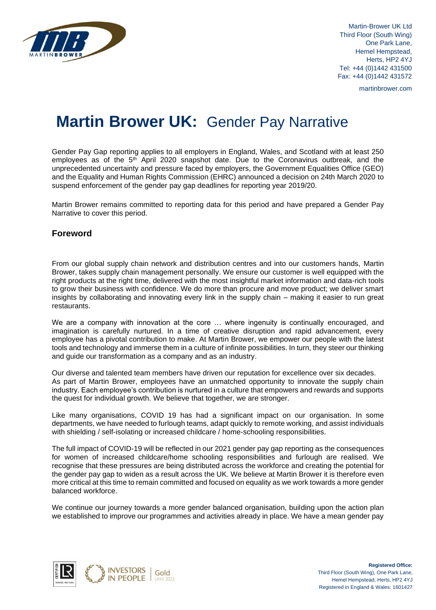

Martin-Brower UK Ltd Third Floor (South Wing) One Park Lane, Hemel Hempstead, Herts, HP2 4YJ Tel: +44 (0)1442 431500 Fax: +44 (0)1442 431572

martinbrower.com

# **Martin Brower UK:** Gender Pay Narrative

Gender Pay Gap reporting applies to all employers in England, Wales, and Scotland with at least 250 employees as of the  $5<sup>th</sup>$  April 2020 snapshot date. Due to the Coronavirus outbreak, and the unprecedented uncertainty and pressure faced by employers, the Government Equalities Office (GEO) and the Equality and Human Rights Commission (EHRC) announced a decision on 24th March 2020 to suspend enforcement of the gender pay gap deadlines for reporting year 2019/20.

Martin Brower remains committed to reporting data for this period and have prepared a Gender Pay Narrative to cover this period.

## **Foreword**

From our global supply chain network and distribution centres and into our customers hands, Martin Brower, takes supply chain management personally. We ensure our customer is well equipped with the right products at the right time, delivered with the most insightful market information and data-rich tools to grow their business with confidence. We do more than procure and move product; we deliver smart insights by collaborating and innovating every link in the supply chain – making it easier to run great restaurants.

We are a company with innovation at the core ... where ingenuity is continually encouraged, and imagination is carefully nurtured. In a time of creative disruption and rapid advancement, every employee has a pivotal contribution to make. At Martin Brower, we empower our people with the latest tools and technology and immerse them in a culture of infinite possibilities. In turn, they steer our thinking and guide our transformation as a company and as an industry.

Our diverse and talented team members have driven our reputation for excellence over six decades. As part of Martin Brower, employees have an unmatched opportunity to innovate the supply chain industry. Each employee's contribution is nurtured in a culture that empowers and rewards and supports the quest for individual growth. We believe that together, we are stronger.

Like many organisations, COVID 19 has had a significant impact on our organisation. In some departments, we have needed to furlough teams, adapt quickly to remote working, and assist individuals with shielding / self-isolating or increased childcare / home-schooling responsibilities.

The full impact of COVID-19 will be reflected in our 2021 gender pay gap reporting as the consequences for women of increased childcare/home schooling responsibilities and furlough are realised. We recognise that these pressures are being distributed across the workforce and creating the potential for the gender pay gap to widen as a result across the UK. We believe at Martin Brower it is therefore even more critical at this time to remain committed and focused on equality as we work towards a more gender balanced workforce.

We continue our journey towards a more gender balanced organisation, building upon the action plan we established to improve our programmes and activities already in place. We have a mean gender pay

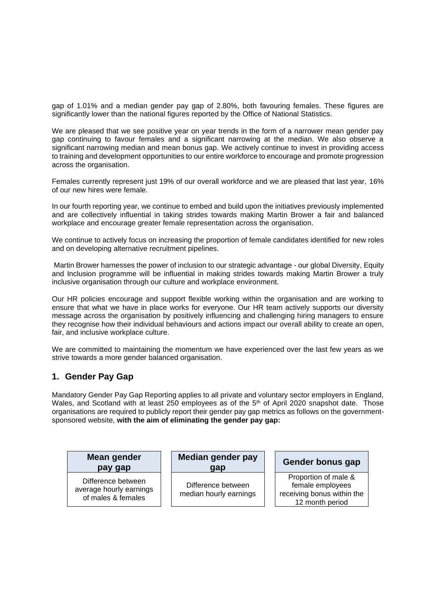gap of 1.01% and a median gender pay gap of 2.80%, both favouring females. These figures are significantly lower than the national figures reported by the Office of National Statistics.

We are pleased that we see positive year on year trends in the form of a narrower mean gender pay gap continuing to favour females and a significant narrowing at the median. We also observe a significant narrowing median and mean bonus gap. We actively continue to invest in providing access to training and development opportunities to our entire workforce to encourage and promote progression across the organisation.

Females currently represent just 19% of our overall workforce and we are pleased that last year, 16% of our new hires were female.

In our fourth reporting year, we continue to embed and build upon the initiatives previously implemented and are collectively influential in taking strides towards making Martin Brower a fair and balanced workplace and encourage greater female representation across the organisation.

We continue to actively focus on increasing the proportion of female candidates identified for new roles and on developing alternative recruitment pipelines.

Martin Brower harnesses the power of inclusion to our strategic advantage - our global Diversity, Equity and Inclusion programme will be influential in making strides towards making Martin Brower a truly inclusive organisation through our culture and workplace environment.

Our HR policies encourage and support flexible working within the organisation and are working to ensure that what we have in place works for everyone. Our HR team actively supports our diversity message across the organisation by positively influencing and challenging hiring managers to ensure they recognise how their individual behaviours and actions impact our overall ability to create an open, fair, and inclusive workplace culture.

We are committed to maintaining the momentum we have experienced over the last few years as we strive towards a more gender balanced organisation.

# **1. Gender Pay Gap**

Mandatory Gender Pay Gap Reporting applies to all private and voluntary sector employers in England, Wales, and Scotland with at least 250 employees as of the 5<sup>th</sup> of April 2020 snapshot date. Those organisations are required to publicly report their gender pay gap metrics as follows on the governmentsponsored website, **with the aim of eliminating the gender pay gap:**

#### **Mean gender pay gap**

Difference between average hourly earnings of males & females

**Median gender pay gap**

Difference between median hourly earnings

## **Gender bonus gap**

Proportion of male & female employees receiving bonus within the 12 month period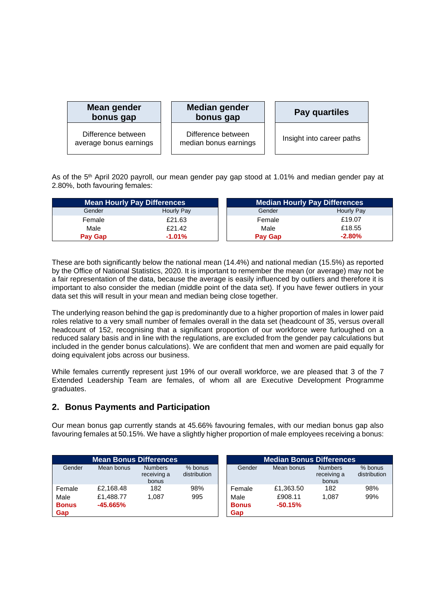| Mean gender<br>bonus gap                     | <b>Median gender</b><br>bonus gap           | <b>Pay quartiles</b>      |
|----------------------------------------------|---------------------------------------------|---------------------------|
| Difference between<br>average bonus earnings | Difference between<br>median bonus earnings | Insight into career paths |

As of the 5th April 2020 payroll, our mean gender pay gap stood at 1.01% and median gender pay at 2.80%, both favouring females:

|                | <b>Mean Hourly Pay Differences</b> | <b>Median Hourly Pay Differences</b> |            |  |
|----------------|------------------------------------|--------------------------------------|------------|--|
| Gender         | Hourly Pay                         | Gender                               | Hourly Pay |  |
| Female         | £21.63                             | Female                               | £19.07     |  |
| Male           | £21.42                             | Male                                 | £18.55     |  |
| <b>Pay Gap</b> | $-1.01%$                           | <b>Pay Gap</b>                       | $-2.80%$   |  |

These are both significantly below the national mean (14.4%) and national median (15.5%) as reported by the Office of National Statistics, 2020. It is important to remember the mean (or average) may not be a fair representation of the data, because the average is easily influenced by outliers and therefore it is important to also consider the median (middle point of the data set). If you have fewer outliers in your data set this will result in your mean and median being close together.

The underlying reason behind the gap is predominantly due to a higher proportion of males in lower paid roles relative to a very small number of females overall in the data set (headcount of 35, versus overall headcount of 152, recognising that a significant proportion of our workforce were furloughed on a reduced salary basis and in line with the regulations, are excluded from the gender pay calculations but included in the gender bonus calculations). We are confident that men and women are paid equally for doing equivalent jobs across our business.

While females currently represent just 19% of our overall workforce, we are pleased that 3 of the 7 Extended Leadership Team are females, of whom all are Executive Development Programme graduates.

# **2. Bonus Payments and Participation**

Our mean bonus gap currently stands at 45.66% favouring females, with our median bonus gap also favouring females at 50.15%. We have a slightly higher proportion of male employees receiving a bonus:

|              | <b>Mean Bonus Differences</b> |                                        |                         |
|--------------|-------------------------------|----------------------------------------|-------------------------|
| Gender       | Mean bonus                    | <b>Numbers</b><br>receiving a<br>bonus | % bonus<br>distribution |
| Female       | £2.168.48                     | 182                                    | 98%                     |
| Male         | £1.488.77                     | 1.087                                  | 995                     |
| <b>Bonus</b> | $-45.665%$                    |                                        |                         |
| Gap          |                               |                                        |                         |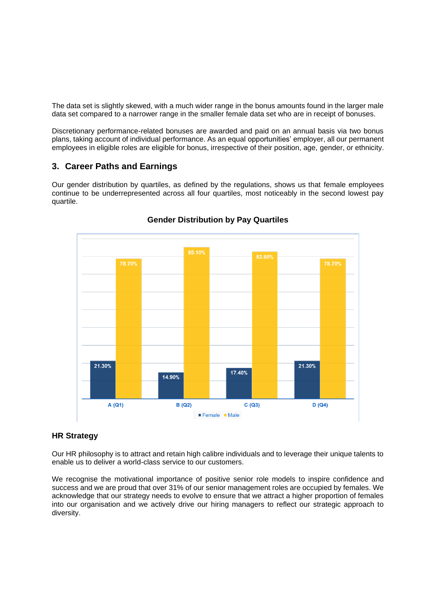The data set is slightly skewed, with a much wider range in the bonus amounts found in the larger male data set compared to a narrower range in the smaller female data set who are in receipt of bonuses.

Discretionary performance-related bonuses are awarded and paid on an annual basis via two bonus plans, taking account of individual performance. As an equal opportunities' employer, all our permanent employees in eligible roles are eligible for bonus, irrespective of their position, age, gender, or ethnicity.

## **3. Career Paths and Earnings**

Our gender distribution by quartiles, as defined by the regulations, shows us that female employees continue to be underrepresented across all four quartiles, most noticeably in the second lowest pay quartile.



# **Gender Distribution by Pay Quartiles**

#### **HR Strategy**

Our HR philosophy is to attract and retain high calibre individuals and to leverage their unique talents to enable us to deliver a world-class service to our customers.

We recognise the motivational importance of positive senior role models to inspire confidence and success and we are proud that over 31% of our senior management roles are occupied by females. We acknowledge that our strategy needs to evolve to ensure that we attract a higher proportion of females into our organisation and we actively drive our hiring managers to reflect our strategic approach to diversity.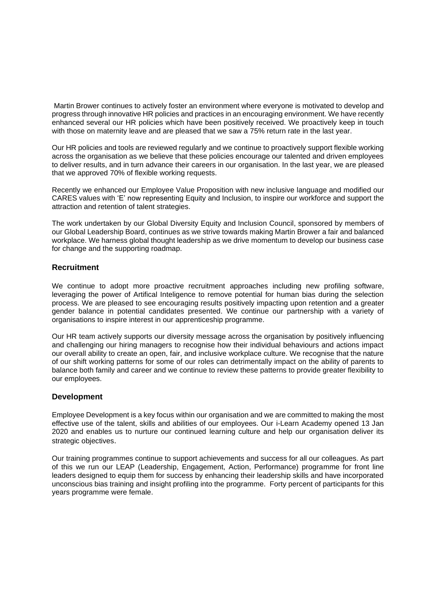Martin Brower continues to actively foster an environment where everyone is motivated to develop and progress through innovative HR policies and practices in an encouraging environment. We have recently enhanced several our HR policies which have been positively received. We proactively keep in touch with those on maternity leave and are pleased that we saw a 75% return rate in the last year.

Our HR policies and tools are reviewed regularly and we continue to proactively support flexible working across the organisation as we believe that these policies encourage our talented and driven employees to deliver results, and in turn advance their careers in our organisation. In the last year, we are pleased that we approved 70% of flexible working requests.

Recently we enhanced our Employee Value Proposition with new inclusive language and modified our CARES values with 'E' now representing Equity and Inclusion, to inspire our workforce and support the attraction and retention of talent strategies.

The work undertaken by our Global Diversity Equity and Inclusion Council, sponsored by members of our Global Leadership Board, continues as we strive towards making Martin Brower a fair and balanced workplace. We harness global thought leadership as we drive momentum to develop our business case for change and the supporting roadmap.

#### **Recruitment**

We continue to adopt more proactive recruitment approaches including new profiling software, leveraging the power of Artifical Inteligence to remove potential for human bias during the selection process. We are pleased to see encouraging results positively impacting upon retention and a greater gender balance in potential candidates presented. We continue our partnership with a variety of organisations to inspire interest in our apprenticeship programme.

Our HR team actively supports our diversity message across the organisation by positively influencing and challenging our hiring managers to recognise how their individual behaviours and actions impact our overall ability to create an open, fair, and inclusive workplace culture. We recognise that the nature of our shift working patterns for some of our roles can detrimentally impact on the ability of parents to balance both family and career and we continue to review these patterns to provide greater flexibility to our employees.

#### **Development**

Employee Development is a key focus within our organisation and we are committed to making the most effective use of the talent, skills and abilities of our employees. Our i-Learn Academy opened 13 Jan 2020 and enables us to nurture our continued learning culture and help our organisation deliver its strategic objectives.

Our training programmes continue to support achievements and success for all our colleagues. As part of this we run our LEAP (Leadership, Engagement, Action, Performance) programme for front line leaders designed to equip them for success by enhancing their leadership skills and have incorporated unconscious bias training and insight profiling into the programme. Forty percent of participants for this years programme were female.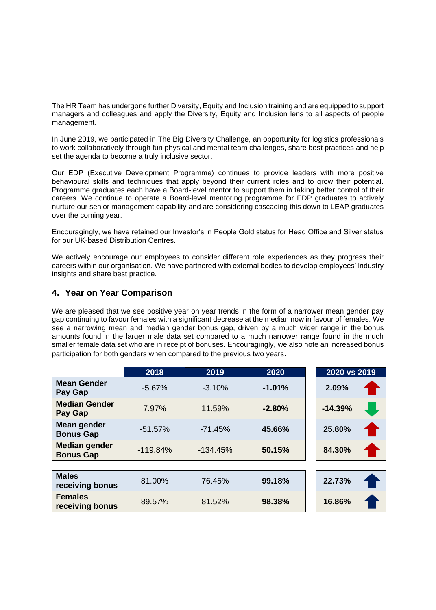The HR Team has undergone further Diversity, Equity and Inclusion training and are equipped to support managers and colleagues and apply the Diversity, Equity and Inclusion lens to all aspects of people management.

In June 2019, we participated in The Big Diversity Challenge, an opportunity for logistics professionals to work collaboratively through fun physical and mental team challenges, share best practices and help set the agenda to become a truly inclusive sector.

Our EDP (Executive Development Programme) continues to provide leaders with more positive behavioural skills and techniques that apply beyond their current roles and to grow their potential. Programme graduates each have a Board-level mentor to support them in taking better control of their careers. We continue to operate a Board-level mentoring programme for EDP graduates to actively nurture our senior management capability and are considering cascading this down to LEAP graduates over the coming year.

Encouragingly, we have retained our Investor's in People Gold status for Head Office and Silver status for our UK-based Distribution Centres.

We actively encourage our employees to consider different role experiences as they progress their careers within our organisation. We have partnered with external bodies to develop employees' industry insights and share best practice.

# **4. Year on Year Comparison**

We are pleased that we see positive year on year trends in the form of a narrower mean gender pay gap continuing to favour females with a significant decrease at the median now in favour of females. We see a narrowing mean and median gender bonus gap, driven by a much wider range in the bonus amounts found in the larger male data set compared to a much narrower range found in the much smaller female data set who are in receipt of bonuses. Encouragingly, we also note an increased bonus participation for both genders when compared to the previous two years.

|                                          | 2018       | 2019       | 2020     | 2020 vs 2019 |
|------------------------------------------|------------|------------|----------|--------------|
| <b>Mean Gender</b><br>Pay Gap            | $-5.67%$   | $-3.10%$   | $-1.01%$ | 2.09%        |
| <b>Median Gender</b><br>Pay Gap          | 7.97%      | 11.59%     | $-2.80%$ | $-14.39%$    |
| Mean gender<br><b>Bonus Gap</b>          | $-51.57%$  | $-71.45%$  | 45.66%   | 25.80%       |
| <b>Median gender</b><br><b>Bonus Gap</b> | $-119.84%$ | $-134.45%$ | 50.15%   | 84.30%       |
|                                          |            |            |          |              |
| <b>Males</b><br>receiving bonus          | 81.00%     | 76.45%     | 99.18%   | 22.73%       |
| <b>Females</b><br>receiving bonus        | 89.57%     | 81.52%     | 98.38%   | 16.86%       |